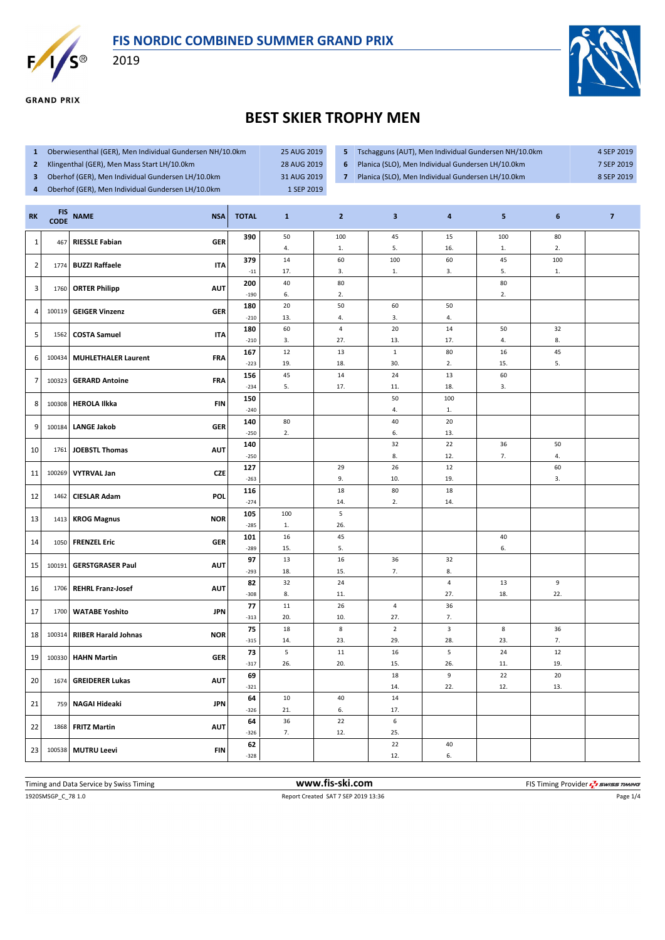



**GRAND PRIX** 

2019



## **BEST SKIER TROPHY MEN**

- **1** Oberwiesenthal (GER), Men Individual Gundersen NH/10.0km 25 AUG 2019
- **2** Klingenthal (GER), Men Mass Start LH/10.0km 28 AUG 2019
- **3** Oberhof (GER), Men Individual Gundersen LH/10.0km 31 AUG 2019
- **4** Oberhof (GER), Men Individual Gundersen LH/10.0km 1 SEP 2019
- **5** Tschagguns (AUT), Men Individual Gundersen NH/10.0km 4 SEP 2019
- **6** Planica (SLO), Men Individual Gundersen LH/10.0km 7 SEP 2019
- 
- **7** Planica (SLO), Men Individual Gundersen LH/10.0km 8 SEP 2019

| RK              | <b>FIS</b><br><b>CODE</b> | <b>NAME</b><br><b>NSA</b>                 | <b>TOTAL</b>  | $\mathbf{1}$ | $\overline{2}$       | $\overline{\mathbf{3}}$ | $\overline{\mathbf{4}}$ | 5         | 6   | $\overline{7}$ |
|-----------------|---------------------------|-------------------------------------------|---------------|--------------|----------------------|-------------------------|-------------------------|-----------|-----|----------------|
| $\mathbf{1}$    | 467                       | <b>RIESSLE Fabian</b><br><b>GER</b>       | 390           | 50           | 100                  | 45                      | 15                      | 100       | 80  |                |
|                 |                           |                                           |               | 4.           | ${\bf 1}.$           | 5.                      | 16.                     | 1.        | 2.  |                |
| $\overline{2}$  | 1774                      | <b>BUZZI Raffaele</b><br><b>ITA</b>       | 379           | 14           | 60                   | 100                     | 60                      | 45        | 100 |                |
|                 |                           |                                           | $-11$         | 17.          | 3.                   | 1.                      | 3.                      | 5.        | 1.  |                |
| 3               | 1760                      | <b>ORTER Philipp</b><br><b>AUT</b>        | 200           | 40           | 80                   |                         |                         | 80        |     |                |
|                 |                           |                                           | $-190$        | 6.           | 2.                   |                         |                         | 2.        |     |                |
| 4               | 100119                    | <b>GEIGER Vinzenz</b><br><b>GER</b>       | 180           | 20           | 50                   | 60                      | 50                      |           |     |                |
|                 |                           |                                           | $-210$        | 13.<br>60    | 4.<br>$\overline{4}$ | 3.<br>20                | 4.<br>14                | 50        | 32  |                |
| $5\phantom{.0}$ | 1562                      | <b>COSTA Samuel</b><br><b>ITA</b>         | 180<br>$-210$ | 3.           | 27.                  | 13.                     | 17.                     | 4.        | 8.  |                |
|                 |                           |                                           | 167           | $12\,$       | 13                   | $\mathbf 1$             | 80                      | 16        | 45  |                |
| 6               | 100434                    | <b>MUHLETHALER Laurent</b><br><b>FRA</b>  | $-223$        | 19.          | 18.                  | 30.                     | 2.                      | 15.       | 5.  |                |
|                 |                           |                                           | 156           | 45           | 14                   | 24                      | 13                      | 60        |     |                |
| $\overline{7}$  | 100323                    | <b>GERARD Antoine</b><br><b>FRA</b>       | $-234$        | 5.           | 17.                  | 11.                     | 18.                     | 3.        |     |                |
|                 |                           |                                           | 150           |              |                      | 50                      | 100                     |           |     |                |
| 8               | 100308                    | <b>HEROLA Ilkka</b><br><b>FIN</b>         | $-240$        |              |                      | 4.                      | 1.                      |           |     |                |
| 9               | 100184                    | <b>LANGE Jakob</b><br><b>GER</b>          | 140           | 80           |                      | 40                      | 20                      |           |     |                |
|                 |                           |                                           | $-250$        | 2.           |                      | 6.                      | 13.                     |           |     |                |
| 10              | 1761                      | <b>JOEBSTL Thomas</b><br><b>AUT</b>       | 140           |              |                      | 32                      | 22                      | 36        | 50  |                |
|                 |                           |                                           | $-250$        |              |                      | 8.                      | 12.                     | 7.        | 4.  |                |
| 11              | 100269                    | <b>VYTRVAL Jan</b><br><b>CZE</b>          | 127           |              | 29                   | 26                      | 12                      |           | 60  |                |
|                 |                           |                                           | $-263$        |              | 9.                   | 10.                     | 19.                     |           | 3.  |                |
| 12              | 1462                      | <b>CIESLAR Adam</b><br>POL                | 116           |              | 18                   | $80\,$                  | 18                      |           |     |                |
|                 |                           |                                           | $-274$        |              | 14.                  | 2.                      | 14.                     |           |     |                |
| 13              | 1413                      | <b>KROG Magnus</b><br><b>NOR</b>          | 105<br>$-285$ | 100<br>1.    | $\sf 5$<br>26.       |                         |                         |           |     |                |
|                 |                           |                                           | 101           | 16           | 45                   |                         |                         | 40        |     |                |
| 14              |                           | 1050 FRENZEL Eric<br><b>GER</b>           | $-289$        | 15.          | 5.                   |                         |                         | 6.        |     |                |
|                 |                           |                                           | 97            | 13           | $16\,$               | 36                      | 32                      |           |     |                |
| 15              | 100191                    | <b>GERSTGRASER Paul</b><br><b>AUT</b>     | $-293$        | 18.          | 15.                  | 7.                      | 8.                      |           |     |                |
|                 |                           |                                           | 82            | 32           | 24                   |                         | $\overline{4}$          | 13        | 9   |                |
| 16              | 1706                      | <b>REHRL Franz-Josef</b><br><b>AUT</b>    | $-308$        | 8.           | 11.                  |                         | 27.                     | 18.       | 22. |                |
| 17              | 1700                      | <b>WATABE Yoshito</b><br><b>JPN</b>       | 77            | $11\,$       | 26                   | $\overline{a}$          | 36                      |           |     |                |
|                 |                           |                                           | $-313$        | 20.          | 10.                  | 27.                     | 7.                      |           |     |                |
| 18              | 100314                    | <b>RIIBER Harald Johnas</b><br><b>NOR</b> | 75            | 18           | 8                    | $\overline{2}$          | $\overline{3}$          | 8         | 36  |                |
|                 |                           |                                           | $-315$        | 14.          | 23.                  | 29.                     | 28.                     | 23.       | 7.  |                |
| 19              |                           | 100330 HAHN Martin<br><b>GER</b>          | 73            | 5            | 11                   | 16                      | $\sqrt{5}$              | 24        | 12  |                |
|                 |                           |                                           | $-317$        | 26.          | 20.                  | 15.                     | 26.                     | 11.       | 19. |                |
| 20              | 1674                      | <b>GREIDERER Lukas</b><br><b>AUT</b>      | 69            |              |                      | 18                      | 9<br>22.                | 22<br>12. | 20  |                |
|                 |                           |                                           | $-321$        | 10           | 40                   | 14.<br>14               |                         |           | 13. |                |
| 21              |                           | 759 NAGAI Hideaki<br><b>JPN</b>           | 64<br>$-326$  | 21.          | 6.                   | 17.                     |                         |           |     |                |
|                 |                           |                                           | 64            | 36           | 22                   | $\boldsymbol{6}$        |                         |           |     |                |
| 22              | 1868                      | <b>FRITZ Martin</b><br><b>AUT</b>         | $-326$        | 7.           | 12.                  | 25.                     |                         |           |     |                |
|                 |                           |                                           | 62            |              |                      | 22                      | 40                      |           |     |                |
| 23              |                           | <b>FIN</b><br>100538 MUTRU Leevi          | $-328$        |              |                      | 12.                     | 6.                      |           |     |                |
|                 |                           |                                           |               |              |                      |                         |                         |           |     |                |

1920SMSGP\_C\_78 1.0 Report Created SAT 7 SEP 2019 13:36 Page 1/4 Timing and Data Service by Swiss Timing **www.fis-ski.com www.fis-ski.com** FIS Timing Provider  $\frac{7}{2}$  SWISS TIMING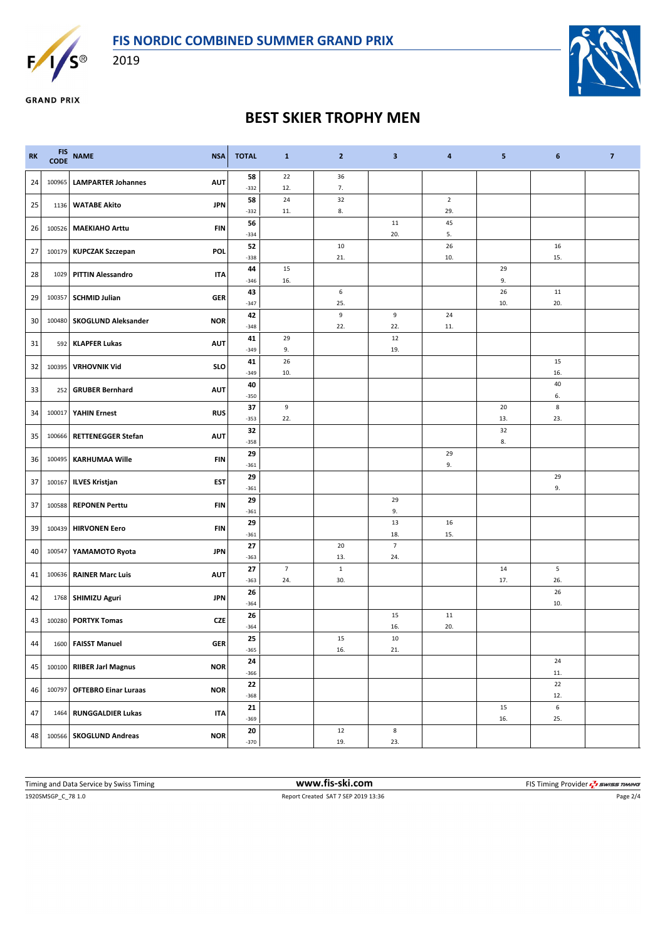



2019



**GRAND PRIX** 

## **BEST SKIER TROPHY MEN**

| <b>RK</b> | <b>FIS</b><br><b>CODE</b> | <b>NAME</b><br><b>NSA</b>                 | <b>TOTAL</b> | $\mathbf{1}$          | $\overline{2}$     | $\overline{\mathbf{3}}$ | $\overline{\mathbf{4}}$ | 5         | 6         | $\overline{\mathbf{z}}$ |
|-----------|---------------------------|-------------------------------------------|--------------|-----------------------|--------------------|-------------------------|-------------------------|-----------|-----------|-------------------------|
| 24        | 100965                    | <b>LAMPARTER Johannes</b><br><b>AUT</b>   | 58<br>$-332$ | 22<br>12.             | 36<br>7.           |                         |                         |           |           |                         |
|           |                           |                                           | 58           | 24                    | 32                 |                         | $\overline{2}$          |           |           |                         |
| 25        | 1136                      | <b>WATABE Akito</b><br><b>JPN</b>         | $-332$       | 11.                   | 8.                 |                         | 29.                     |           |           |                         |
| 26        | 100526                    | <b>MAEKIAHO Arttu</b><br><b>FIN</b>       | 56           |                       |                    | 11                      | 45                      |           |           |                         |
|           |                           |                                           | $-334$<br>52 |                       | 10                 | 20.                     | 5.<br>26                |           | 16        |                         |
| 27        |                           | POL<br>100179 KUPCZAK Szczepan            | $-338$       |                       | 21.                |                         | 10.                     |           | 15.       |                         |
| 28        | 1029                      | <b>PITTIN Alessandro</b><br><b>ITA</b>    | 44           | 15                    |                    |                         |                         | 29        |           |                         |
|           |                           |                                           | $-346$       | 16.                   |                    |                         |                         | 9.        |           |                         |
| 29        |                           | 100357 SCHMID Julian<br><b>GER</b>        | 43<br>$-347$ |                       | 6<br>25.           |                         |                         | 26<br>10. | 11<br>20. |                         |
|           |                           | <b>NOR</b>                                | 42           |                       | 9                  | 9                       | 24                      |           |           |                         |
| 30        | 100480                    | <b>SKOGLUND Aleksander</b>                | $-348$       |                       | 22.                | 22.                     | 11.                     |           |           |                         |
| 31        |                           | 592 KLAPFER Lukas<br><b>AUT</b>           | 41<br>$-349$ | 29<br>9.              |                    | 12<br>19.               |                         |           |           |                         |
|           |                           |                                           | 41           | 26                    |                    |                         |                         |           | 15        |                         |
| 32        | 100395                    | <b>VRHOVNIK Vid</b><br><b>SLO</b>         | $-349$       | 10.                   |                    |                         |                         |           | 16.       |                         |
| 33        | 252                       | <b>GRUBER Bernhard</b><br><b>AUT</b>      | 40           |                       |                    |                         |                         |           | 40        |                         |
|           |                           |                                           | $-350$       |                       |                    |                         |                         |           | 6.        |                         |
| 34        | 100017                    | <b>YAHIN Ernest</b><br><b>RUS</b>         | 37<br>$-353$ | 9<br>22.              |                    |                         |                         | 20<br>13. | 8<br>23.  |                         |
| 35        | 100666                    | <b>AUT</b><br><b>RETTENEGGER Stefan</b>   | 32           |                       |                    |                         |                         | 32        |           |                         |
|           |                           |                                           | $-358$       |                       |                    |                         |                         | 8.        |           |                         |
| 36        |                           | 100495 KARHUMAA Wille<br>FIN              | 29<br>$-361$ |                       |                    |                         | 29<br>9.                |           |           |                         |
|           |                           |                                           | 29           |                       |                    |                         |                         |           | 29        |                         |
| 37        |                           | 100167 ILVES Kristjan<br>EST              | $-361$       |                       |                    |                         |                         |           | 9.        |                         |
| 37        |                           | 100588 REPONEN Perttu<br>FIN              | 29           |                       |                    | 29                      |                         |           |           |                         |
|           |                           |                                           | $-361$       |                       |                    | 9.<br>13                | 16                      |           |           |                         |
| 39        |                           | 100439 HIRVONEN Eero<br><b>FIN</b>        | 29<br>$-361$ |                       |                    | 18.                     | 15.                     |           |           |                         |
| 40        | 100547                    | YAMAMOTO Ryota<br>JPN                     | 27           |                       | 20                 | $\overline{7}$          |                         |           |           |                         |
|           |                           |                                           | $-363$       |                       | 13.                | 24.                     |                         |           |           |                         |
| 41        | 100636                    | <b>AUT</b><br><b>RAINER Marc Luis</b>     | 27<br>$-363$ | $\overline{7}$<br>24. | $\mathbf 1$<br>30. |                         |                         | 14<br>17. | 5<br>26.  |                         |
|           |                           |                                           | 26           |                       |                    |                         |                         |           | 26        |                         |
| 42        |                           | 1768   SHIMIZU Aguri<br>JPN               | $-364$       |                       |                    |                         |                         |           | 10.       |                         |
| 43        | 100280                    | <b>CZE</b><br><b>PORTYK Tomas</b>         | 26           |                       |                    | 15                      | 11                      |           |           |                         |
|           |                           |                                           | $-364$<br>25 |                       | 15                 | 16.<br>10               | 20.                     |           |           |                         |
| 44        |                           | 1600 FAISST Manuel<br><b>GER</b>          | $-365$       |                       | 16.                | 21.                     |                         |           |           |                         |
| 45        | 100100                    | <b>RIIBER Jarl Magnus</b><br><b>NOR</b>   | 24           |                       |                    |                         |                         |           | 24        |                         |
|           |                           |                                           | $-366$       |                       |                    |                         |                         |           | 11.       |                         |
| 46        | 100797                    | <b>NOR</b><br><b>OFTEBRO Einar Luraas</b> | 22<br>$-368$ |                       |                    |                         |                         |           | 22<br>12. |                         |
|           |                           |                                           | ${\bf 21}$   |                       |                    |                         |                         | 15        | 6         |                         |
| 47        | 1464                      | <b>ITA</b><br><b>RUNGGALDIER Lukas</b>    | $-369$       |                       |                    |                         |                         | 16.       | 25.       |                         |
| 48        |                           | <b>NOR</b><br>100566 SKOGLUND Andreas     | 20           |                       | 12                 | 8                       |                         |           |           |                         |
|           |                           |                                           | $-370$       |                       | 19.                | 23.                     |                         |           |           |                         |

1920SMSGP\_C\_78 1.0 Report Created SAT 7 SEP 2019 13:36 Page 2/4 Timing and Data Service by Swiss Timing **WWW.fis-Ski.com WWW.fis-Ski.com** FIS Timing Provider  $\frac{7}{2}$  SWISS TIMING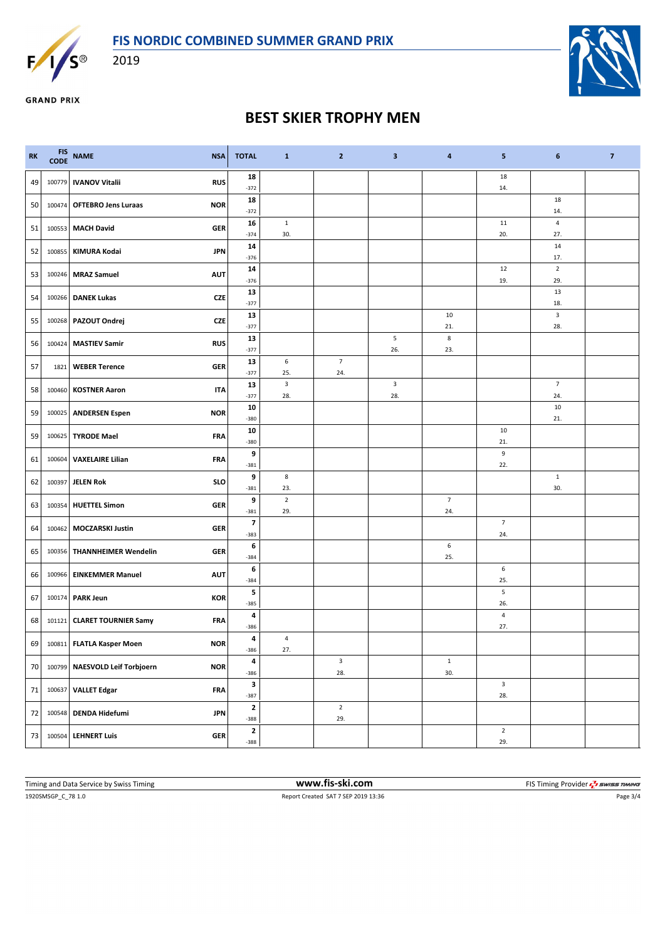

2019



**GRAND PRIX** 

## **BEST SKIER TROPHY MEN**

| <b>RK</b> | <b>FIS</b><br><b>CODE</b> | <b>NAME</b><br><b>NSA</b>                    | <b>TOTAL</b>                       | $\mathbf{1}$                   | $\overline{2}$     | 3                   | 4                  | 5                 | 6                     | $\overline{7}$ |
|-----------|---------------------------|----------------------------------------------|------------------------------------|--------------------------------|--------------------|---------------------|--------------------|-------------------|-----------------------|----------------|
| 49        | 100779                    | <b>IVANOV Vitalii</b><br><b>RUS</b>          | 18<br>$-372$                       |                                |                    |                     |                    | 18<br>14.         |                       |                |
| 50        | 100474                    | <b>OFTEBRO Jens Luraas</b><br><b>NOR</b>     | 18<br>$-372$                       |                                |                    |                     |                    |                   | 18<br>14.             |                |
| 51        | 100553                    | <b>MACH David</b><br><b>GER</b>              | 16<br>$-374$                       | $\mathbf{1}$<br>30.            |                    |                     |                    | 11<br>20.         | 4<br>27.              |                |
| 52        |                           | <b>JPN</b><br>100855   KIMURA Kodai          | 14<br>$-376$                       |                                |                    |                     |                    |                   | 14<br>17.             |                |
| 53        |                           | 100246 MRAZ Samuel<br><b>AUT</b>             | 14                                 |                                |                    |                     |                    | 12                | $\overline{2}$        |                |
| 54        |                           | 100266 DANEK Lukas<br><b>CZE</b>             | $-376$<br>13                       |                                |                    |                     |                    | 19.               | 29.<br>13             |                |
| 55        |                           | 100268 PAZOUT Ondrej<br><b>CZE</b>           | $-377$<br>13                       |                                |                    |                     | 10                 |                   | 18.<br>3              |                |
| 56        |                           | <b>RUS</b><br>100424 MASTIEV Samir           | $-377$<br>13                       |                                |                    | 5                   | 21.<br>8           |                   | 28.                   |                |
|           |                           |                                              | $-377$<br>13                       | 6                              | $\overline{7}$     | 26.                 | 23.                |                   |                       |                |
| 57        | 1821                      | <b>GER</b><br><b>WEBER Terence</b>           | $-377$                             | 25.                            | 24.                |                     |                    |                   |                       |                |
| 58        | 100460                    | <b>KOSTNER Aaron</b><br><b>ITA</b>           | 13<br>$-377$                       | $\overline{\mathbf{3}}$<br>28. |                    | $\mathbf{3}$<br>28. |                    |                   | $\overline{7}$<br>24. |                |
| 59        |                           | 100025 ANDERSEN Espen<br><b>NOR</b>          | 10<br>$-380$                       |                                |                    |                     |                    |                   | 10<br>21.             |                |
| 59        | 100625                    | <b>TYRODE Mael</b><br><b>FRA</b>             | 10<br>$-380$                       |                                |                    |                     |                    | 10<br>21.         |                       |                |
| 61        |                           | <b>FRA</b><br>100604 VAXELAIRE Lilian        | 9<br>$-381$                        |                                |                    |                     |                    | 9<br>22.          |                       |                |
| 62        | 100397                    | <b>SLO</b><br><b>JELEN Rok</b>               | 9                                  | 8                              |                    |                     |                    |                   | $\mathbf{1}$<br>30.   |                |
| 63        |                           | <b>GER</b><br>100354 HUETTEL Simon           | $-381$<br>9                        | 23.<br>$\overline{2}$          |                    |                     | $\overline{7}$     |                   |                       |                |
|           |                           |                                              | $-381$<br>$\overline{\phantom{a}}$ | 29.                            |                    |                     | 24.                | $\overline{7}$    |                       |                |
| 64        |                           | 100462 MOCZARSKI Justin<br><b>GER</b>        | $-383$                             |                                |                    |                     | 6                  | 24.               |                       |                |
| 65        |                           | 100356   THANNHEIMER Wendelin<br>GER         | 6<br>$-384$                        |                                |                    |                     | 25.                |                   |                       |                |
| 66        |                           | <b>AUT</b><br>100966 EINKEMMER Manuel        | 6<br>$-384$                        |                                |                    |                     |                    | 6<br>25.          |                       |                |
| 67        |                           | <b>KOR</b><br>100174 PARK Jeun               | 5<br>$-385$                        |                                |                    |                     |                    | $\sqrt{5}$<br>26. |                       |                |
| 68        |                           | 101121 CLARET TOURNIER Samy<br><b>FRA</b>    | 4<br>$-386$                        |                                |                    |                     |                    | 4<br>27.          |                       |                |
| 69        |                           | 100811 FLATLA Kasper Moen<br><b>NOR</b>      | 4<br>$-386$                        | 4<br>27.                       |                    |                     |                    |                   |                       |                |
| 70        |                           | 100799 NAESVOLD Leif Torbjoern<br><b>NOR</b> | 4<br>$-386$                        |                                | $\mathsf 3$<br>28. |                     | $\mathbf 1$<br>30. |                   |                       |                |
| 71        | 100637                    | <b>VALLET Edgar</b><br><b>FRA</b>            | $\mathbf{3}$                       |                                |                    |                     |                    | $\mathbf{3}$      |                       |                |
| 72        |                           | 100548 DENDA Hidefumi<br><b>JPN</b>          | $-387$<br>$\mathbf{2}$             |                                | $\overline{2}$     |                     |                    | 28.               |                       |                |
| 73        |                           | 100504 LEHNERT Luis<br><b>GER</b>            | $-388$<br>$\mathbf{2}$             |                                | 29.                |                     |                    | $\overline{2}$    |                       |                |
|           |                           |                                              | $-388$                             |                                |                    |                     |                    | 29.               |                       |                |

1920SMSGP\_C\_78 1.0 Report Created SAT 7 SEP 2019 13:36 Page 3/4 Timing and Data Service by Swiss Timing **WWW.fis-Ski.com WWW.fis-Ski.com** FIS Timing Provider *EX* SWISS Timing Provider *EX* SWISS Timing Provider *EX* SWISS Timing Provider *EX* SWISS Timing **WWW.fis-Ski.com EXCISION**